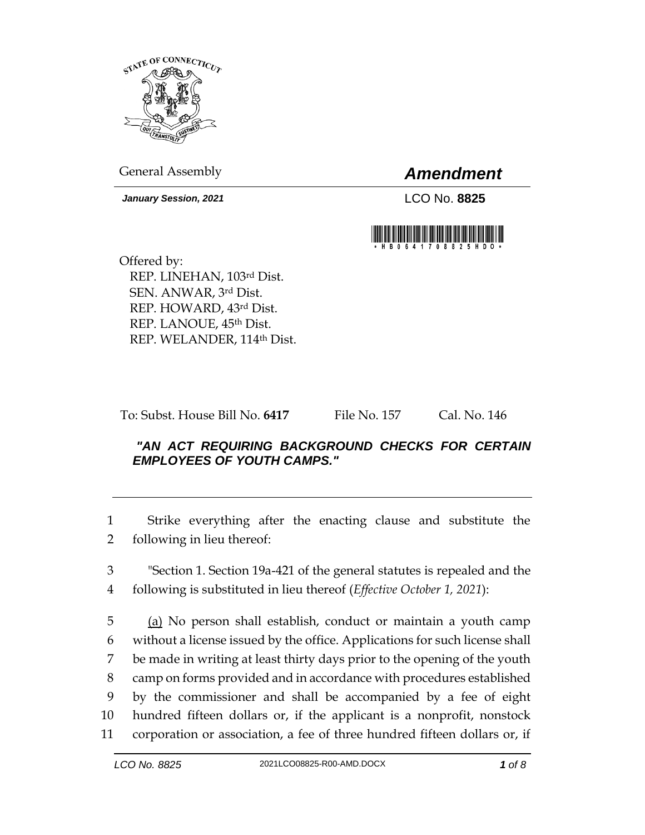

General Assembly *Amendment*

*January Session, 2021* LCO No. **8825**



Offered by: REP. LINEHAN, 103rd Dist. SEN. ANWAR, 3rd Dist. REP. HOWARD, 43rd Dist. REP. LANOUE, 45th Dist. REP. WELANDER, 114th Dist.

To: Subst. House Bill No. **6417** File No. 157 Cal. No. 146

## *"AN ACT REQUIRING BACKGROUND CHECKS FOR CERTAIN EMPLOYEES OF YOUTH CAMPS."*

1 Strike everything after the enacting clause and substitute the 2 following in lieu thereof:

3 "Section 1. Section 19a-421 of the general statutes is repealed and the 4 following is substituted in lieu thereof (*Effective October 1, 2021*):

 (a) No person shall establish, conduct or maintain a youth camp without a license issued by the office. Applications for such license shall be made in writing at least thirty days prior to the opening of the youth camp on forms provided and in accordance with procedures established by the commissioner and shall be accompanied by a fee of eight hundred fifteen dollars or, if the applicant is a nonprofit, nonstock corporation or association, a fee of three hundred fifteen dollars or, if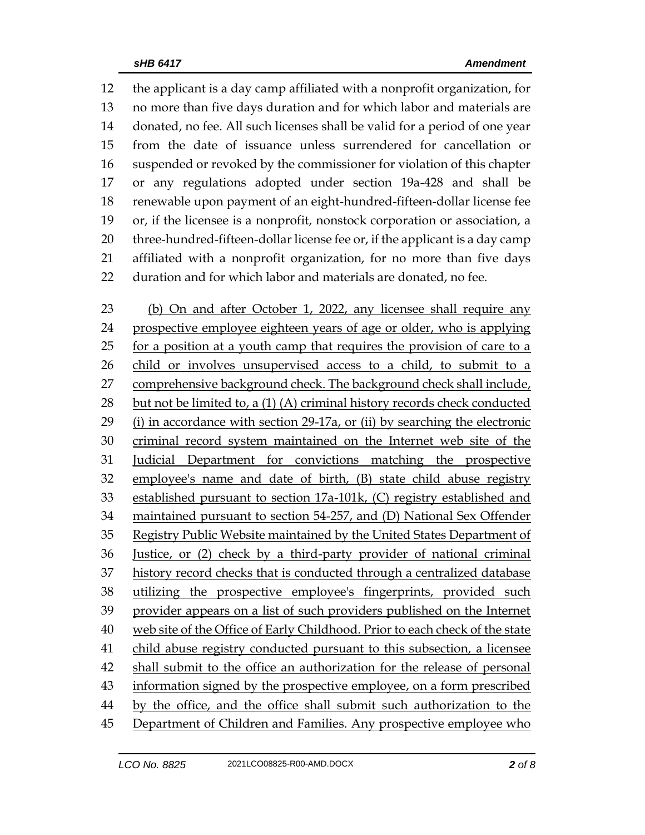the applicant is a day camp affiliated with a nonprofit organization, for no more than five days duration and for which labor and materials are donated, no fee. All such licenses shall be valid for a period of one year from the date of issuance unless surrendered for cancellation or suspended or revoked by the commissioner for violation of this chapter or any regulations adopted under section 19a-428 and shall be renewable upon payment of an eight-hundred-fifteen-dollar license fee or, if the licensee is a nonprofit, nonstock corporation or association, a three-hundred-fifteen-dollar license fee or, if the applicant is a day camp affiliated with a nonprofit organization, for no more than five days duration and for which labor and materials are donated, no fee.

 (b) On and after October 1, 2022, any licensee shall require any prospective employee eighteen years of age or older, who is applying for a position at a youth camp that requires the provision of care to a child or involves unsupervised access to a child, to submit to a comprehensive background check. The background check shall include, but not be limited to, a (1) (A) criminal history records check conducted (i) in accordance with section 29-17a, or (ii) by searching the electronic criminal record system maintained on the Internet web site of the Judicial Department for convictions matching the prospective employee's name and date of birth, (B) state child abuse registry established pursuant to section 17a-101k, (C) registry established and maintained pursuant to section 54-257, and (D) National Sex Offender Registry Public Website maintained by the United States Department of Justice, or (2) check by a third-party provider of national criminal history record checks that is conducted through a centralized database utilizing the prospective employee's fingerprints, provided such provider appears on a list of such providers published on the Internet web site of the Office of Early Childhood. Prior to each check of the state child abuse registry conducted pursuant to this subsection, a licensee shall submit to the office an authorization for the release of personal information signed by the prospective employee, on a form prescribed by the office, and the office shall submit such authorization to the 45 Department of Children and Families. Any prospective employee who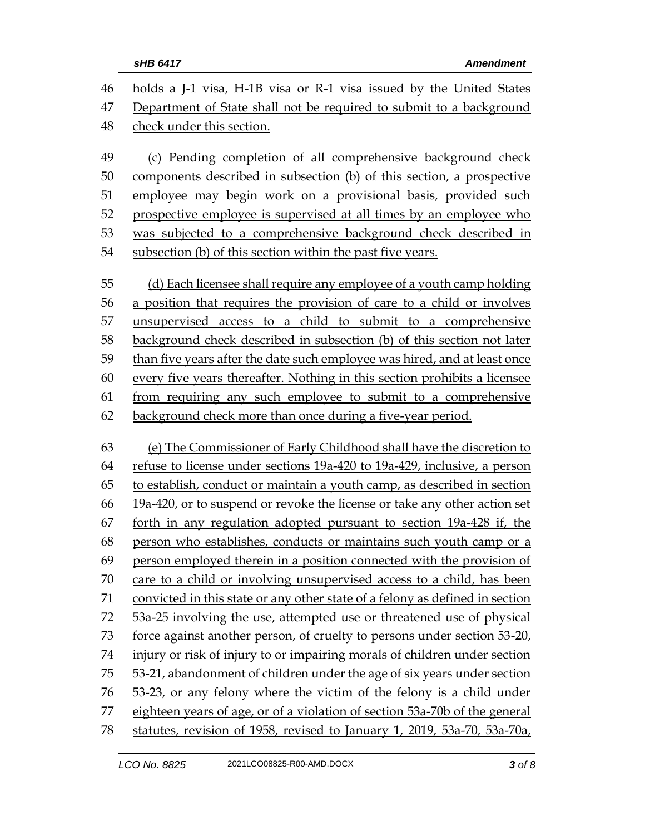| 46 | holds a J-1 visa, H-1B visa or R-1 visa issued by the United States          |  |  |
|----|------------------------------------------------------------------------------|--|--|
| 47 | Department of State shall not be required to submit to a background          |  |  |
| 48 | check under this section.                                                    |  |  |
| 49 | (c) Pending completion of all comprehensive background check                 |  |  |
| 50 | components described in subsection (b) of this section, a prospective        |  |  |
| 51 | employee may begin work on a provisional basis, provided such                |  |  |
| 52 | prospective employee is supervised at all times by an employee who           |  |  |
| 53 | was subjected to a comprehensive background check described in               |  |  |
| 54 | subsection (b) of this section within the past five years.                   |  |  |
| 55 | (d) Each licensee shall require any employee of a youth camp holding         |  |  |
| 56 | a position that requires the provision of care to a child or involves        |  |  |
| 57 | unsupervised access to a child to submit to a comprehensive                  |  |  |
| 58 | background check described in subsection (b) of this section not later       |  |  |
| 59 | than five years after the date such employee was hired, and at least once    |  |  |
| 60 | every five years thereafter. Nothing in this section prohibits a licensee    |  |  |
| 61 | from requiring any such employee to submit to a comprehensive                |  |  |
| 62 | background check more than once during a five-year period.                   |  |  |
| 63 | (e) The Commissioner of Early Childhood shall have the discretion to         |  |  |
| 64 | refuse to license under sections 19a-420 to 19a-429, inclusive, a person     |  |  |
| 65 | to establish, conduct or maintain a youth camp, as described in section      |  |  |
| 66 | 19a-420, or to suspend or revoke the license or take any other action set    |  |  |
| 67 | forth in any regulation adopted pursuant to section 19a-428 if, the          |  |  |
| 68 | person who establishes, conducts or maintains such youth camp or a           |  |  |
| 69 | person employed therein in a position connected with the provision of        |  |  |
| 70 | care to a child or involving unsupervised access to a child, has been        |  |  |
| 71 | convicted in this state or any other state of a felony as defined in section |  |  |
| 72 | 53a-25 involving the use, attempted use or threatened use of physical        |  |  |
| 73 | force against another person, of cruelty to persons under section 53-20,     |  |  |
| 74 | injury or risk of injury to or impairing morals of children under section    |  |  |
| 75 | 53-21, abandonment of children under the age of six years under section      |  |  |
| 76 | 53-23, or any felony where the victim of the felony is a child under         |  |  |
| 77 | eighteen years of age, or of a violation of section 53a-70b of the general   |  |  |
| 78 | statutes, revision of 1958, revised to January 1, 2019, 53a-70, 53a-70a,     |  |  |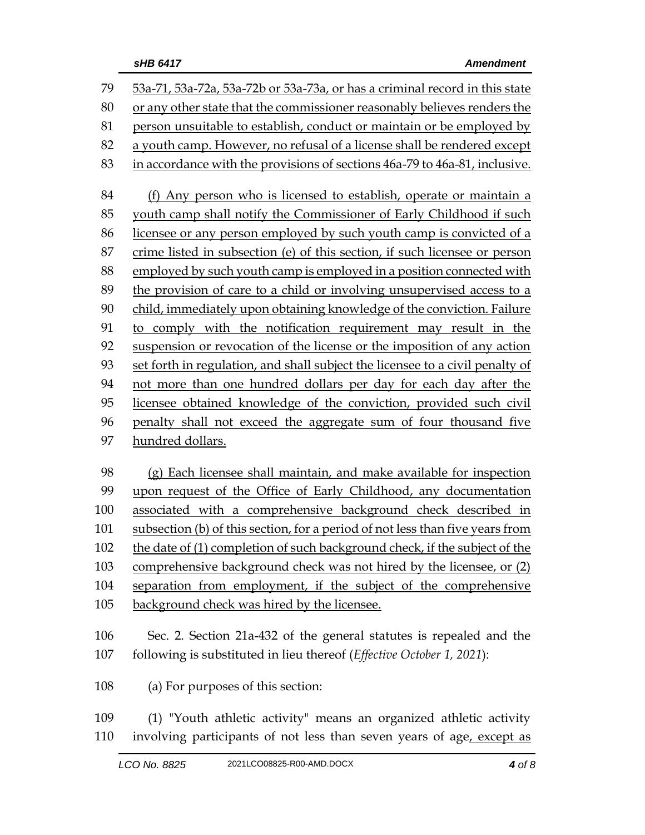| 79  | 53a-71, 53a-72a, 53a-72b or 53a-73a, or has a criminal record in this state   |  |  |
|-----|-------------------------------------------------------------------------------|--|--|
| 80  | or any other state that the commissioner reasonably believes renders the      |  |  |
| 81  | person unsuitable to establish, conduct or maintain or be employed by         |  |  |
| 82  | a youth camp. However, no refusal of a license shall be rendered except       |  |  |
| 83  | in accordance with the provisions of sections 46a-79 to 46a-81, inclusive.    |  |  |
|     |                                                                               |  |  |
| 84  | (f) Any person who is licensed to establish, operate or maintain a            |  |  |
| 85  | youth camp shall notify the Commissioner of Early Childhood if such           |  |  |
| 86  | licensee or any person employed by such youth camp is convicted of a          |  |  |
| 87  | crime listed in subsection (e) of this section, if such licensee or person    |  |  |
| 88  | employed by such youth camp is employed in a position connected with          |  |  |
| 89  | the provision of care to a child or involving unsupervised access to a        |  |  |
| 90  | child, immediately upon obtaining knowledge of the conviction. Failure        |  |  |
| 91  | to comply with the notification requirement may result in the                 |  |  |
| 92  | suspension or revocation of the license or the imposition of any action       |  |  |
| 93  | set forth in regulation, and shall subject the licensee to a civil penalty of |  |  |
| 94  | not more than one hundred dollars per day for each day after the              |  |  |
| 95  | licensee obtained knowledge of the conviction, provided such civil            |  |  |
| 96  | penalty shall not exceed the aggregate sum of four thousand five              |  |  |
| 97  | hundred dollars.                                                              |  |  |
|     |                                                                               |  |  |
| 98  | (g) Each licensee shall maintain, and make available for inspection           |  |  |
| 99  | upon request of the Office of Early Childhood, any documentation              |  |  |
| 100 | associated with a comprehensive background check described in                 |  |  |
| 101 | subsection (b) of this section, for a period of not less than five years from |  |  |
| 102 | the date of (1) completion of such background check, if the subject of the    |  |  |
| 103 | comprehensive background check was not hired by the licensee, or (2)          |  |  |
| 104 | separation from employment, if the subject of the comprehensive               |  |  |
| 105 | background check was hired by the licensee.                                   |  |  |
|     |                                                                               |  |  |
| 106 | Sec. 2. Section 21a-432 of the general statutes is repealed and the           |  |  |
| 107 | following is substituted in lieu thereof (Effective October 1, 2021):         |  |  |
| 108 | (a) For purposes of this section:                                             |  |  |
| 109 | (1) "Youth athletic activity" means an organized athletic activity            |  |  |
| 110 | involving participants of not less than seven years of age, except as         |  |  |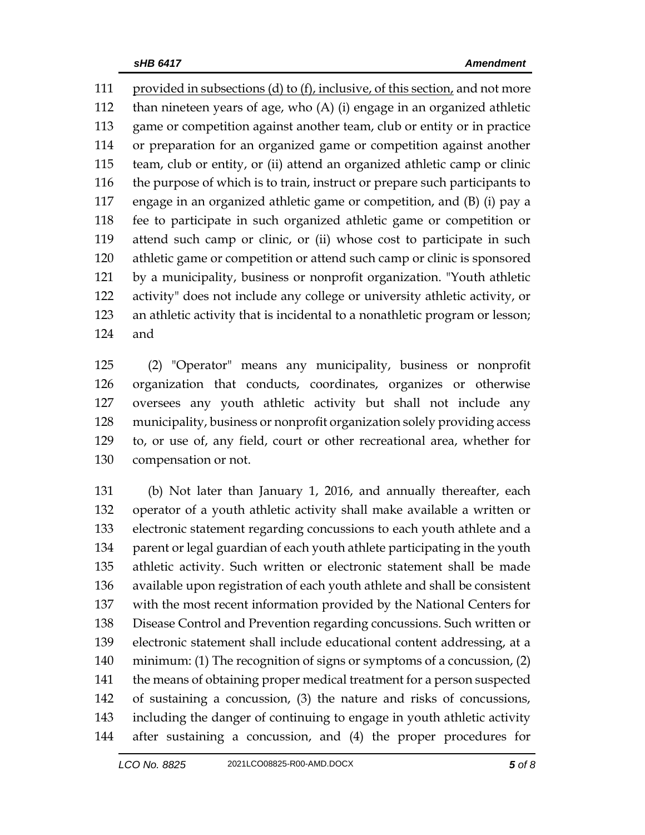provided in subsections (d) to (f), inclusive, of this section, and not more than nineteen years of age, who (A) (i) engage in an organized athletic game or competition against another team, club or entity or in practice or preparation for an organized game or competition against another team, club or entity, or (ii) attend an organized athletic camp or clinic the purpose of which is to train, instruct or prepare such participants to engage in an organized athletic game or competition, and (B) (i) pay a fee to participate in such organized athletic game or competition or attend such camp or clinic, or (ii) whose cost to participate in such athletic game or competition or attend such camp or clinic is sponsored by a municipality, business or nonprofit organization. "Youth athletic activity" does not include any college or university athletic activity, or an athletic activity that is incidental to a nonathletic program or lesson; and

 (2) "Operator" means any municipality, business or nonprofit organization that conducts, coordinates, organizes or otherwise oversees any youth athletic activity but shall not include any municipality, business or nonprofit organization solely providing access to, or use of, any field, court or other recreational area, whether for compensation or not.

 (b) Not later than January 1, 2016, and annually thereafter, each operator of a youth athletic activity shall make available a written or electronic statement regarding concussions to each youth athlete and a parent or legal guardian of each youth athlete participating in the youth athletic activity. Such written or electronic statement shall be made available upon registration of each youth athlete and shall be consistent with the most recent information provided by the National Centers for Disease Control and Prevention regarding concussions. Such written or electronic statement shall include educational content addressing, at a minimum: (1) The recognition of signs or symptoms of a concussion, (2) 141 the means of obtaining proper medical treatment for a person suspected of sustaining a concussion, (3) the nature and risks of concussions, including the danger of continuing to engage in youth athletic activity after sustaining a concussion, and (4) the proper procedures for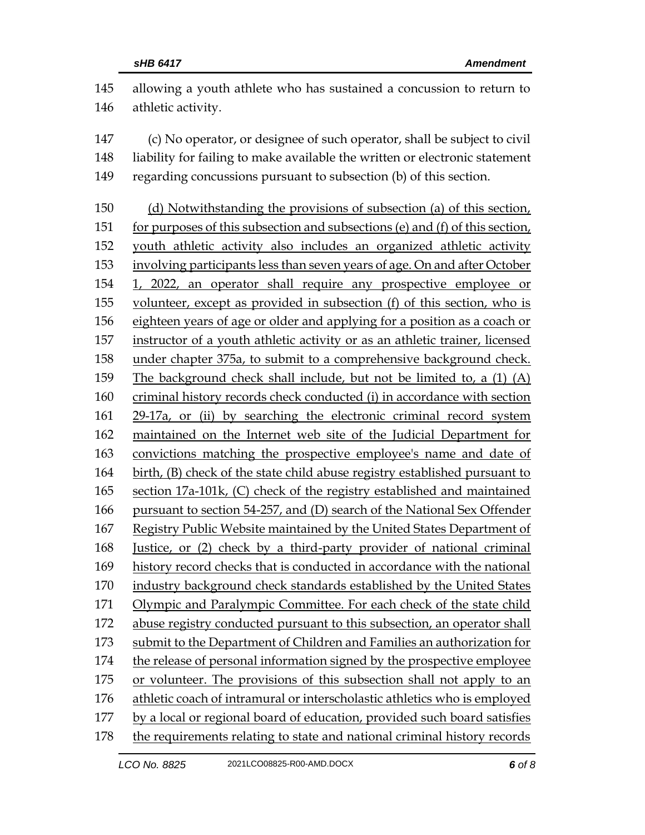| 145 | allowing a youth athlete who has sustained a concussion to return to         |
|-----|------------------------------------------------------------------------------|
| 146 | athletic activity.                                                           |
| 147 | (c) No operator, or designee of such operator, shall be subject to civil     |
| 148 | liability for failing to make available the written or electronic statement  |
| 149 | regarding concussions pursuant to subsection (b) of this section.            |
| 150 | (d) Notwithstanding the provisions of subsection (a) of this section,        |
| 151 | for purposes of this subsection and subsections (e) and (f) of this section, |
| 152 | youth athletic activity also includes an organized athletic activity         |
| 153 | involving participants less than seven years of age. On and after October    |
| 154 | 1, 2022, an operator shall require any prospective employee or               |
| 155 | volunteer, except as provided in subsection (f) of this section, who is      |
| 156 | eighteen years of age or older and applying for a position as a coach or     |
| 157 | instructor of a youth athletic activity or as an athletic trainer, licensed  |
| 158 | under chapter 375a, to submit to a comprehensive background check.           |
| 159 | The background check shall include, but not be limited to, a (1) (A)         |
| 160 | criminal history records check conducted (i) in accordance with section      |
| 161 | 29-17a, or (ii) by searching the electronic criminal record system           |
| 162 | maintained on the Internet web site of the Judicial Department for           |
| 163 | convictions matching the prospective employee's name and date of             |
| 164 | birth, (B) check of the state child abuse registry established pursuant to   |
| 165 | section 17a-101k, (C) check of the registry established and maintained       |
| 166 | pursuant to section 54-257, and (D) search of the National Sex Offender      |
| 167 | Registry Public Website maintained by the United States Department of        |
| 168 | Justice, or (2) check by a third-party provider of national criminal         |
| 169 | history record checks that is conducted in accordance with the national      |
| 170 | industry background check standards established by the United States         |
| 171 | Olympic and Paralympic Committee. For each check of the state child          |
| 172 | abuse registry conducted pursuant to this subsection, an operator shall      |
| 173 | submit to the Department of Children and Families an authorization for       |
| 174 | the release of personal information signed by the prospective employee       |
| 175 | or volunteer. The provisions of this subsection shall not apply to an        |
| 176 | athletic coach of intramural or interscholastic athletics who is employed    |
| 177 | by a local or regional board of education, provided such board satisfies     |
| 178 | the requirements relating to state and national criminal history records     |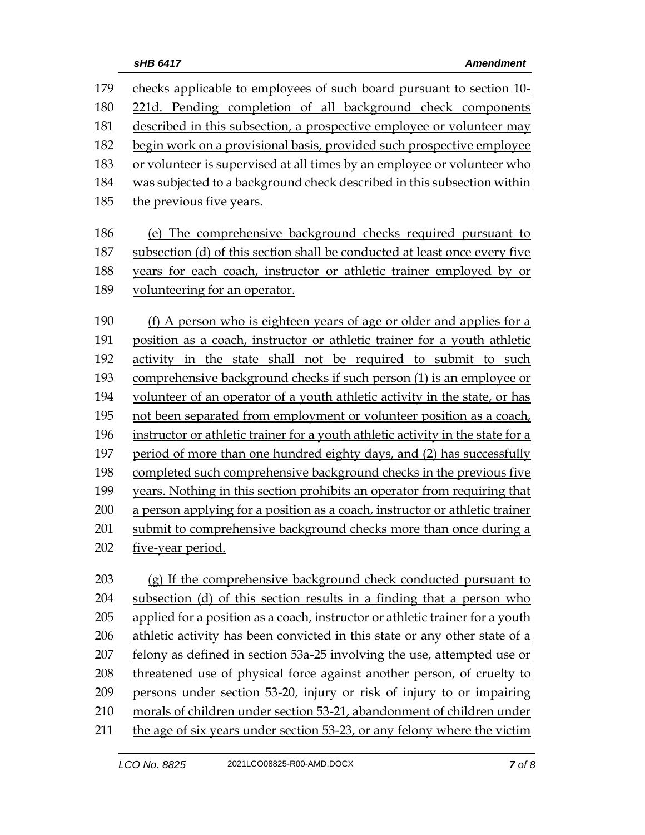| 179 | checks applicable to employees of such board pursuant to section 10-            |  |  |
|-----|---------------------------------------------------------------------------------|--|--|
| 180 | 221d. Pending completion of all background check components                     |  |  |
| 181 | described in this subsection, a prospective employee or volunteer may           |  |  |
| 182 | begin work on a provisional basis, provided such prospective employee           |  |  |
| 183 | or volunteer is supervised at all times by an employee or volunteer who         |  |  |
| 184 | was subjected to a background check described in this subsection within         |  |  |
| 185 | the previous five years.                                                        |  |  |
|     |                                                                                 |  |  |
| 186 | (e) The comprehensive background checks required pursuant to                    |  |  |
| 187 | subsection (d) of this section shall be conducted at least once every five      |  |  |
| 188 | years for each coach, instructor or athletic trainer employed by or             |  |  |
| 189 | volunteering for an operator.                                                   |  |  |
| 190 | (f) A person who is eighteen years of age or older and applies for a            |  |  |
| 191 | position as a coach, instructor or athletic trainer for a youth athletic        |  |  |
| 192 | activity in the state shall not be required to submit to such                   |  |  |
| 193 | comprehensive background checks if such person (1) is an employee or            |  |  |
| 194 | volunteer of an operator of a youth athletic activity in the state, or has      |  |  |
| 195 | not been separated from employment or volunteer position as a coach,            |  |  |
| 196 | instructor or athletic trainer for a youth athletic activity in the state for a |  |  |
| 197 | period of more than one hundred eighty days, and (2) has successfully           |  |  |
| 198 | completed such comprehensive background checks in the previous five             |  |  |
| 199 | years. Nothing in this section prohibits an operator from requiring that        |  |  |
| 200 | a person applying for a position as a coach, instructor or athletic trainer     |  |  |
| 201 | submit to comprehensive background checks more than once during a               |  |  |
| 202 | five-year period.                                                               |  |  |
|     |                                                                                 |  |  |
| 203 | (g) If the comprehensive background check conducted pursuant to                 |  |  |
| 204 | subsection (d) of this section results in a finding that a person who           |  |  |
| 205 | applied for a position as a coach, instructor or athletic trainer for a youth   |  |  |
| 206 | athletic activity has been convicted in this state or any other state of a      |  |  |
| 207 | felony as defined in section 53a-25 involving the use, attempted use or         |  |  |
| 208 | threatened use of physical force against another person, of cruelty to          |  |  |
| 209 | persons under section 53-20, injury or risk of injury to or impairing           |  |  |
| 210 | morals of children under section 53-21, abandonment of children under           |  |  |
| 211 | the age of six years under section 53-23, or any felony where the victim        |  |  |